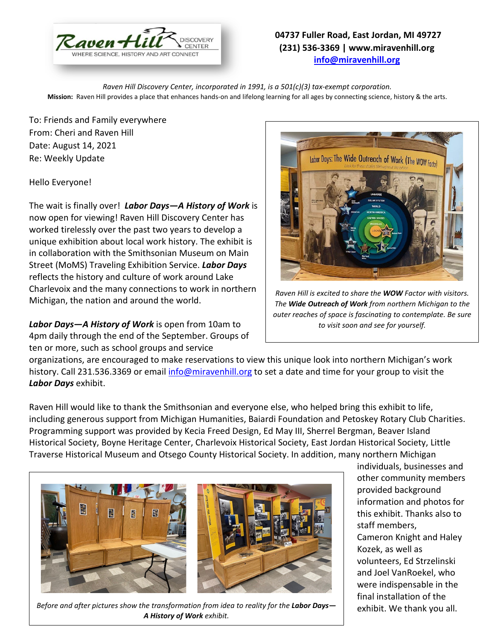

## **04737 Fuller Road, East Jordan, MI 49727 (231) 536-3369 | www.miravenhill.org [info@miravenhill.org](mailto:info@miravenhill.org)**

*Raven Hill Discovery Center, incorporated in 1991, is a 501(c)(3) tax-exempt corporation.* **Mission:** Raven Hill provides a place that enhances hands-on and lifelong learning for all ages by connecting science, history & the arts.

To: Friends and Family everywhere From: Cheri and Raven Hill Date: August 14, 2021 Re: Weekly Update

## Hello Everyone!

The wait is finally over! *Labor Days—A History of Work* is now open for viewing! Raven Hill Discovery Center has worked tirelessly over the past two years to develop a unique exhibition about local work history. The exhibit is in collaboration with the Smithsonian Museum on Main Street (MoMS) Traveling Exhibition Service. *Labor Days* reflects the history and culture of work around Lake Charlevoix and the many connections to work in northern Michigan, the nation and around the world.

*Labor Days—A History of Work* is open from 10am to 4pm daily through the end of the September. Groups of ten or more, such as school groups and service



*Raven Hill is excited to share the WOW Factor with visitors. The Wide Outreach of Work from northern Michigan to the outer reaches of space is fascinating to contemplate. Be sure to visit soon and see for yourself.* 

organizations, are encouraged to make reservations to view this unique look into northern Michigan's work history. Call 231.536.3369 or email [info@miravenhill.org](mailto:info@miravenhill.org) to set a date and time for your group to visit the *Labor Days* exhibit.

Raven Hill would like to thank the Smithsonian and everyone else, who helped bring this exhibit to life, including generous support from Michigan Humanities, Baiardi Foundation and Petoskey Rotary Club Charities. Programming support was provided by Kecia Freed Design, Ed May III, Sherrel Bergman, Beaver Island Historical Society, Boyne Heritage Center, Charlevoix Historical Society, East Jordan Historical Society, Little Traverse Historical Museum and Otsego County Historical Society. In addition, many northern Michigan



*Before and after pictures show the transformation from idea to reality for the Labor Days*— *A History of Work exhibit.* 

individuals, businesses and other community members provided background information and photos for this exhibit. Thanks also to staff members, Cameron Knight and Haley Kozek, as well as volunteers, Ed Strzelinski and Joel VanRoekel, who were indispensable in the final installation of the exhibit. We thank you all.